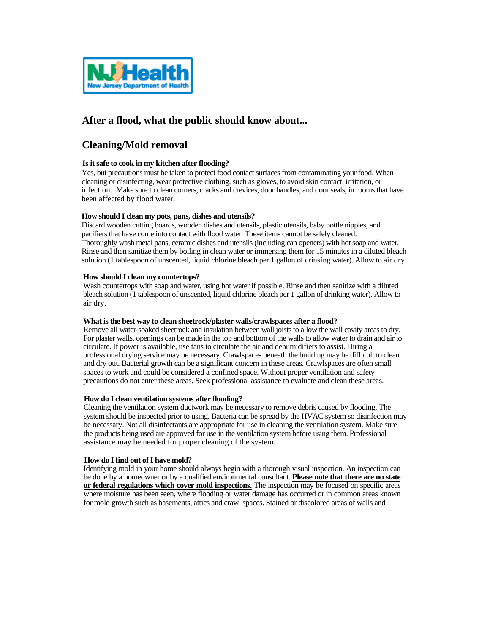

# **After a flood, what the public should know about...**

# **Cleaning/Mold removal**

# **Is it safe to cook in my kitchen after flooding?**

Yes, but precautions must be taken to protect food contact surfaces from contaminating your food. When cleaning or disinfecting, wear protective clothing, such as gloves, to avoid skin contact, irritation, or infection. Make sure to clean corners, cracks and crevices, door handles, and door seals, in rooms that have been affected by flood water.

# **How should I clean my pots, pans, dishes and utensils?**

Discard wooden cutting boards, wooden dishes and utensils, plastic utensils, baby bottle nipples, and pacifiers that have come into contact with flood water. These items cannot be safely cleaned. Thoroughly wash metal pans, ceramic dishes and utensils (including can openers) with hot soap and water. Rinse and then sanitize them by boiling in clean water or immersing them for 15 minutes in a diluted bleach solution (1 tablespoon of unscented, liquid chlorine bleach per 1 gallon of drinking water). Allow to air dry.

# **How should I clean my countertops?**

Wash countertops with soap and water, using hot water if possible. Rinse and then sanitize with a diluted bleach solution (1 tablespoon of unscented, liquid chlorine bleach per 1 gallon of drinking water). Allow to air dry.

## **What is the best way to clean sheetrock/plaster walls/crawlspaces after a flood?**

Remove all water-soaked sheetrock and insulation between wall joists to allow the wall cavity areas to dry. For plaster walls, openings can be made in the top and bottom of the walls to allow water to drain and air to circulate. If power is available, use fans to circulate the air and dehumidifiers to assist. Hiring a professional drying service may be necessary. Crawlspaces beneath the building may be difficult to clean and dry out. Bacterial growth can be a significant concern in these areas. Crawlspaces are often small spaces to work and could be considered a confined space. Without proper ventilation and safety precautions do not enter these areas. Seek professional assistance to evaluate and clean these areas.

## **How do I clean ventilation systems after flooding?**

Cleaning the ventilation system ductwork may be necessary to remove debris caused by flooding. The system should be inspected prior to using. Bacteria can be spread by the HVAC system so disinfection may be necessary. Not all disinfectants are appropriate for use in cleaning the ventilation system. Make sure the products being used are approved for use in the ventilation system before using them. Professional assistance may be needed for proper cleaning of the system.

## **How do I find out of I have mold?**

Identifying mold in your home should always begin with a thorough visual inspection. An inspection can be done by a homeowner or by a qualified environmental consultant. **Please note that there are no state or federal regulations which cover mold inspections.** The inspection may be focused on specific areas where moisture has been seen, where flooding or water damage has occurred or in common areas known for mold growth such as basements, attics and crawl spaces. Stained or discolored areas of walls and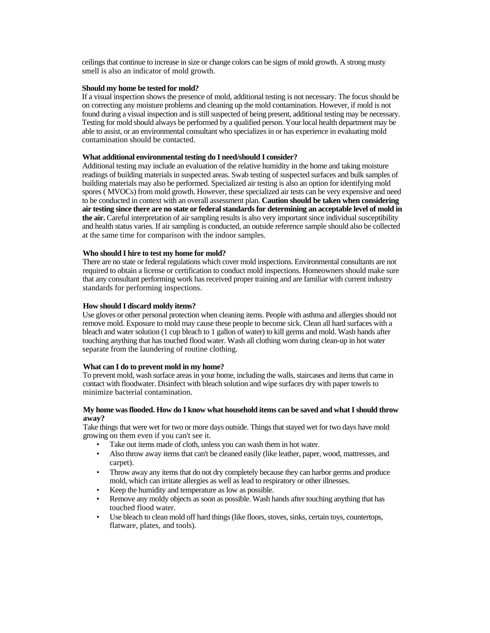ceilings that continue to increase in size or change colors can be signs of mold growth. A strong musty smell is also an indicator of mold growth.

#### **Should my home be tested for mold?**

If a visual inspection shows the presence of mold, additional testing is not necessary. The focus should be on correcting any moisture problems and cleaning up the mold contamination. However, if mold is not found during a visual inspection and is still suspected of being present, additional testing may be necessary. Testing for mold should always be performed by a qualified person. Your local health department may be able to assist, or an environmental consultant who specializes in or has experience in evaluating mold contamination should be contacted.

#### **What additional environmental testing do I need/should I consider?**

Additional testing may include an evaluation of the relative humidity in the home and taking moisture readings of building materials in suspected areas. Swab testing of suspected surfaces and bulk samples of building materials may also be performed. Specialized air testing is also an option for identifying mold spores ( MVOCs) from mold growth. However, these specialized air tests can be very expensive and need to be conducted in context with an overall assessment plan. **Caution should be taken when considering air testing since there are no state or federal standards for determining an acceptable level of mold in the air.** Careful interpretation of air sampling results is also very important since individual susceptibility and health status varies. If air sampling is conducted, an outside reference sample should also be collected at the same time for comparison with the indoor samples.

#### **Who should I hire to test my home for mold?**

There are no state or federal regulations which cover mold inspections. Environmental consultants are not required to obtain a license or certification to conduct mold inspections. Homeowners should make sure that any consultant performing work has received proper training and are familiar with current industry standards for performing inspections.

#### **How should I discard moldy items?**

Use gloves or other personal protection when cleaning items. People with asthma and allergies should not remove mold. Exposure to mold may cause these people to become sick. Clean all hard surfaces with a bleach and water solution (1 cup bleach to 1 gallon of water) to kill germs and mold. Wash hands after touching anything that has touched flood water. Wash all clothing worn during clean-up in hot water separate from the laundering of routine clothing.

## **What can I do to prevent mold in my home?**

To prevent mold, wash surface areas in your home, including the walls, staircases and items that came in contact with floodwater. Disinfect with bleach solution and wipe surfaces dry with paper towels to minimize bacterial contamination.

## **My home was flooded. How do I know what household items can be saved and what I should throw away?**

Take things that were wet for two or more days outside. Things that stayed wet for two days have mold growing on them even if you can't see it.

- Take out items made of cloth, unless you can wash them in hot water.
- Also throw away items that can't be cleaned easily (like leather, paper, wood, mattresses, and carpet).
- Throw away any items that do not dry completely because they can harbor germs and produce mold, which can irritate allergies as well as lead to respiratory or other illnesses.
- Keep the humidity and temperature as low as possible.
- Remove any moldy objects as soon as possible. Wash hands after touching anything that has touched flood water.
- Use bleach to clean mold off hard things (like floors, stoves, sinks, certain toys, countertops, flatware, plates, and tools).